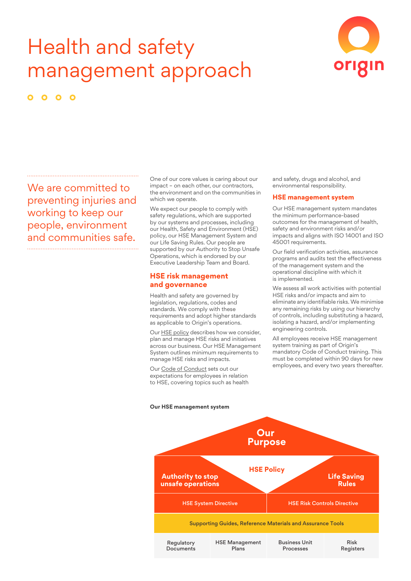# Health and safety management approach



 $\bullet$  $\bullet$ 

We are committed to preventing injuries and working to keep our people, environment and communities safe.

One of our core values is caring about our impact – on each other, our contractors, the environment and on the communities in which we operate.

We expect our people to comply with safety regulations, which are supported by our systems and processes, including our Health, Safety and Environment (HSE) policy, our HSE Management System and our Life Saving Rules. Our people are supported by our Authority to Stop Unsafe Operations, which is endorsed by our Executive Leadership Team and Board.

#### **HSE risk management and governance**

Health and safety are governed by legislation, regulations, codes and standards. We comply with these requirements and adopt higher standards as applicable to Origin's operations.

Our HSE [policy](https://www.originenergy.com.au/content/dam/origin/about/investors-media/documents/health-safety-environment-commitment.pdf) describes how we consider, plan and manage HSE risks and initiatives across our business. Our HSE Management System outlines minimum requirements to manage HSE risks and impacts.

Our Code of [Conduct](https://www.originenergy.com.au/content/dam/origin/about/investors-media/code-of-conduct.pdf) sets out our expectations for employees in relation to HSE, covering topics such as health and safety, drugs and alcohol, and environmental responsibility.

#### **HSE management system**

Our HSE management system mandates the minimum performance-based outcomes for the management of health, safety and environment risks and/or impacts and aligns with ISO 14001 and ISO 45001 requirements.

Our field verification activities, assurance programs and audits test the effectiveness of the management system and the operational discipline with which it is implemented.

We assess all work activities with potential HSE risks and/or impacts and aim to eliminate any identifiable risks. We minimise any remaining risks by using our hierarchy of controls, including substituting a hazard, isolating a hazard, and/or implementing engineering controls.

All employees receive HSE management system training as part of Origin's mandatory Code of Conduct training. This must be completed within 90 days for new employees, and every two years thereafter.

### **Our HSE management system Our Purpose HSE Policy Life Saving Rules Authority to stop unsafe operations** HSE System Directive Supporting Guides, Reference Materials and Assurance Tools Regulatory Documents HSE Management Plans Business Unit Processes Risk **Registers** HSE Risk Controls Directive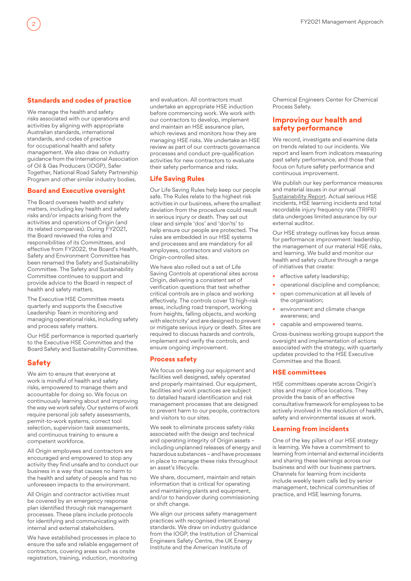## **Standards and codes of practice**

We manage the health and safety risks associated with our operations and activities by aligning with appropriate Australian standards, international standards, and codes of practice for occupational health and safety management. We also draw on industry guidance from the International Association of Oil & Gas Producers (IOGP), Safer Together, National Road Safety Partnership Program and other similar industry bodies.

#### **Board and Executive oversight**

The Board oversees health and safety matters, including key health and safety risks and/or impacts arising from the activities and operations of Origin (and its related companies). During FY2021, the Board reviewed the roles and responsibilities of its Committees, and effective from FY2022, the Board's Health, Safety and Environment Committee has been renamed the Safety and Sustainability Committee. The Safety and Sustainability Committee continues to support and provide advice to the Board in respect of health and safety matters.

The Executive HSE Committee meets quarterly and supports the Executive Leadership Team in monitoring and managing operational risks, including safety and process safety matters.

Our HSE performance is reported quarterly to the Executive HSE Committee and the Board Safety and Sustainability Committee.

## **Safety**

We aim to ensure that everyone at work is mindful of health and safety risks, empowered to manage them and accountable for doing so. We focus on continuously learning about and improving the way we work safely. Our systems of work require personal job safety assessments, permit-to-work systems, correct tool selection, supervision task assessments, and continuous training to ensure a competent workforce.

All Origin employees and contractors are encouraged and empowered to stop any activity they find unsafe and to conduct our business in a way that causes no harm to the health and safety of people and has no unforeseen impacts to the environment.

All Origin and contractor activities must be covered by an emergency response plan identified through risk management processes. These plans include protocols for identifying and communicating with internal and external stakeholders.

We have established processes in place to ensure the safe and reliable engagement of contractors, covering areas such as onsite registration, training, induction, monitoring

and evaluation. All contractors must undertake an appropriate HSE induction before commencing work. We work with our contractors to develop, implement and maintain an HSE assurance plan, which reviews and monitors how they are managing HSE risks. We undertake an HSE review as part of our contracts governance processes and conduct pre-qualification activities for new contractors to evaluate their safety performance and risks.

#### **Life Saving Rules**

Our Life Saving Rules help keep our people safe. The Rules relate to the highest risk activities in our business, where the smallest deviation from the procedure could result in serious injury or death. They set out clear and simple 'dos' and 'don'ts' to help ensure our people are protected. The rules are embedded in our HSE systems and processes and are mandatory for all employees, contractors and visitors on Origin-controlled sites.

We have also rolled out a set of Life Saving Controls at operational sites across Origin, delivering a consistent set of verification questions that test whether critical controls are in place and working effectively. The controls cover 13 high-risk areas, including road transport, working from heights, falling objects, and working with electricity' and are designed to prevent or mitigate serious injury or death. Sites are required to discuss hazards and controls, implement and verify the controls, and ensure ongoing improvement.

## **Process safety**

We focus on keeping our equipment and facilities well designed, safely operated and properly maintained. Our equipment, facilities and work practices are subject to detailed hazard identification and risk management processes that are designed to prevent harm to our people, contractors and visitors to our sites.

We seek to eliminate process safety risks associated with the design and technical and operating integrity of Origin assets – including unplanned releases of energy and hazardous substances – and have processes in place to manage these risks throughout an asset's lifecycle.

We share, document, maintain and retain information that is critical for operating and maintaining plants and equipment, and/or to handover during commissioning or shift change.

We align our process safety management practices with recognised international standards. We draw on industry guidance from the IOGP, the Institution of Chemical Engineers Safety Centre, the UK Energy Institute and the American Institute of

Chemical Engineers Center for Chemical Process Safety.

## **Improving our health and safety performance**

We record, investigate and examine data on trends related to our incidents. We report and learn from indicators measuring past safety performance, and those that focus on future safety performance and continuous improvement.

We publish our key performance measures and material issues in our annual [Sustainability](https://www.originenergy.com.au/content/dam/origin/about/investors-media/documents/Origin_Sustainability_Report_2021.pdf) Report. Actual serious HSE incidents, HSE learning incidents and total recordable injury frequency rate (TRIFR) data undergoes limited assurance by our external auditor.

Our HSE strategy outlines key focus areas for performance improvement: leadership, the management of our material HSE risks, and learning. We build and monitor our health and safety culture through a range of initiatives that create:

- effective safety leadership;
- operational discipline and compliance;
- open communication at all levels of the organisation:
- environment and climate change awareness; and
- capable and empowered teams.

Cross-business working groups support the oversight and implementation of actions associated with the strategy, with quarterly updates provided to the HSE Executive Committee and the Board.

#### **HSE committees**

HSE committees operate across Origin's sites and major office locations. They provide the basis of an effective consultative framework for employees to be actively involved in the resolution of health, safety and environmental issues at work.

#### **Learning from incidents**

One of the key pillars of our HSE strategy is learning. We have a commitment to learning from internal and external incidents and sharing these learnings across our business and with our business partners. Channels for learning from incidents include weekly team calls led by senior management, technical communities of practice, and HSE learning forums.